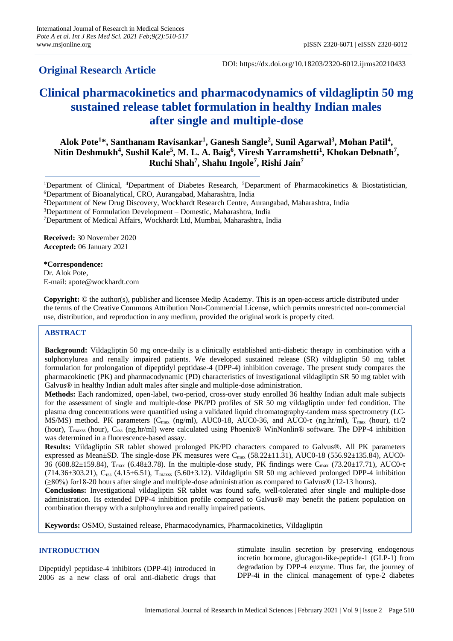# **Original Research Article**

DOI: https://dx.doi.org/10.18203/2320-6012.ijrms20210433

# **Clinical pharmacokinetics and pharmacodynamics of vildagliptin 50 mg sustained release tablet formulation in healthy Indian males after single and multiple-dose**

**Alok Pote<sup>1</sup> \*, Santhanam Ravisankar<sup>1</sup> , Ganesh Sangle<sup>2</sup> , Sunil Agarwal<sup>3</sup> , Mohan Patil<sup>4</sup> , Nitin Deshmukh<sup>4</sup> , Sushil Kale<sup>5</sup> , M. L. A. Baig<sup>6</sup> , Viresh Yarramshetti<sup>1</sup> , Khokan Debnath<sup>7</sup> , Ruchi Shah<sup>7</sup> , Shahu Ingole<sup>7</sup> , Rishi Jain<sup>7</sup>**

**Received:** 30 November 2020 **Accepted:** 06 January 2021

**\*Correspondence:** Dr. Alok Pote, E-mail: apote@wockhardt.com

**Copyright:** © the author(s), publisher and licensee Medip Academy. This is an open-access article distributed under the terms of the Creative Commons Attribution Non-Commercial License, which permits unrestricted non-commercial use, distribution, and reproduction in any medium, provided the original work is properly cited.

# **ABSTRACT**

**Background:** Vildagliptin 50 mg once-daily is a clinically established anti-diabetic therapy in combination with a sulphonylurea and renally impaired patients. We developed sustained release (SR) vildagliptin 50 mg tablet formulation for prolongation of dipeptidyl peptidase-4 (DPP-4) inhibition coverage. The present study compares the pharmacokinetic (PK) and pharmacodynamic (PD) characteristics of investigational vildagliptin SR 50 mg tablet with Galvus® in healthy Indian adult males after single and multiple-dose administration.

**Methods:** Each randomized, open-label, two-period, cross-over study enrolled 36 healthy Indian adult male subjects for the assessment of single and multiple-dose PK/PD profiles of SR 50 mg vildagliptin under fed condition. The plasma drug concentrations were quantified using a validated liquid chromatography-tandem mass spectrometry (LC-MS/MS) method. PK parameters (C<sub>max</sub> (ng/ml), AUC0-18, AUC0-36, and AUC0-τ (ng.hr/ml), T<sub>max</sub> (hour), t1/2 (hour),  $T_{\text{max}}$  (hour),  $C_{\text{res}}$  (ng.hr/ml) were calculated using Phoenix® WinNonlin® software. The DPP-4 inhibition was determined in a fluorescence-based assay.

**Results:** Vildagliptin SR tablet showed prolonged PK/PD characters compared to Galvus®. All PK parameters expressed as Mean±SD. The single-dose PK measures were  $C_{\text{max}}$  (58.22±11.31), AUC0-18 (556.92±135.84), AUC0-36 (608.82±159.84), Tmax (6.48±3.78). In the multiple-dose study, PK findings were Cmax (73.20±17.71), AUC0-τ  $(714.36\pm303.21)$ , C<sub>rss</sub> (4.15 $\pm$ 6.51), T<sub>maxs</sub> (5.60 $\pm$ 3.12). Vildagliptin SR 50 mg achieved prolonged DPP-4 inhibition (≥80%) for18-20 hours after single and multiple-dose administration as compared to Galvus® (12-13 hours).

**Conclusions:** Investigational vildagliptin SR tablet was found safe, well-tolerated after single and multiple-dose administration. Its extended DPP-4 inhibition profile compared to Galvus® may benefit the patient population on combination therapy with a sulphonylurea and renally impaired patients.

**Keywords:** OSMO, Sustained release, Pharmacodynamics, Pharmacokinetics, Vildagliptin

# **INTRODUCTION**

Dipeptidyl peptidase-4 inhibitors (DPP-4i) introduced in 2006 as a new class of oral anti-diabetic drugs that stimulate insulin secretion by preserving endogenous incretin hormone, glucagon-like-peptide-1 (GLP-1) from degradation by DPP-4 enzyme. Thus far, the journey of DPP-4i in the clinical management of type-2 diabetes

<sup>1</sup>Department of Clinical, <sup>4</sup>Department of Diabetes Research, <sup>5</sup>Department of Pharmacokinetics & Biostatistician, <sup>6</sup>Department of Bioanalytical, CRO, Aurangabad, Maharashtra, India

<sup>2</sup>Department of New Drug Discovery, Wockhardt Research Centre, Aurangabad, Maharashtra, India

<sup>3</sup>Department of Formulation Development – Domestic, Maharashtra, India

<sup>7</sup>Department of Medical Affairs, Wockhardt Ltd, Mumbai, Maharashtra, India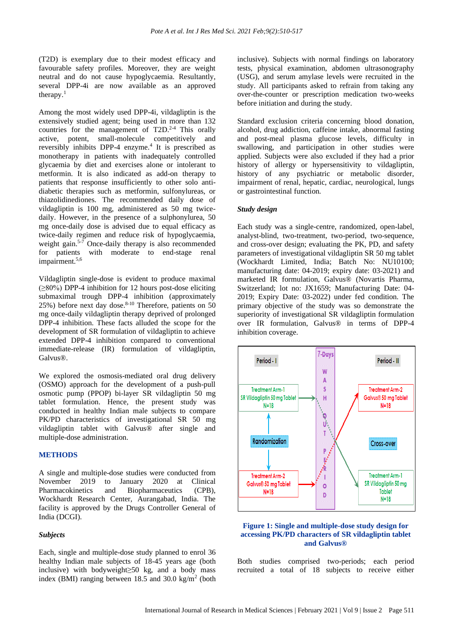(T2D) is exemplary due to their modest efficacy and favourable safety profiles. Moreover, they are weight neutral and do not cause hypoglycaemia. Resultantly, several DPP-4i are now available as an approved therapy. $<sup>1</sup>$ </sup>

Among the most widely used DPP-4i, vildagliptin is the extensively studied agent; being used in more than 132 countries for the management of T2D.<sup>2-4</sup> This orally active, potent, small-molecule competitively and reversibly inhibits DPP-4 enzyme. 4 It is prescribed as monotherapy in patients with inadequately controlled glycaemia by diet and exercises alone or intolerant to metformin. It is also indicated as add-on therapy to patients that response insufficiently to other solo antidiabetic therapies such as metformin, sulfonylureas, or thiazolidinediones. The recommended daily dose of vildagliptin is 100 mg, administered as 50 mg twicedaily. However, in the presence of a sulphonylurea, 50 mg once-daily dose is advised due to equal efficacy as twice-daily regimen and reduce risk of hypoglycaemia, weight gain. 5-7 Once-daily therapy is also recommended for patients with moderate to end-stage renal impairment.<sup>5,6</sup>

Vildagliptin single-dose is evident to produce maximal (≥80%) DPP-4 inhibition for 12 hours post-dose eliciting submaximal trough DPP-4 inhibition (approximately 25%) before next day dose. 8-10 Therefore, patients on 50 mg once-daily vildagliptin therapy deprived of prolonged DPP-4 inhibition. These facts alluded the scope for the development of SR formulation of vildagliptin to achieve extended DPP-4 inhibition compared to conventional immediate-release (IR) formulation of vildagliptin, Galvus®.

We explored the osmosis-mediated oral drug delivery (OSMO) approach for the development of a push-pull osmotic pump (PPOP) bi-layer SR vildagliptin 50 mg tablet formulation. Hence, the present study was conducted in healthy Indian male subjects to compare PK/PD characteristics of investigational SR 50 mg vildagliptin tablet with Galvus® after single and multiple-dose administration.

# **METHODS**

A single and multiple-dose studies were conducted from November 2019 to January 2020 at Clinical Pharmacokinetics and Biopharmaceutics (CPB), Wockhardt Research Center, Aurangabad, India. The facility is approved by the Drugs Controller General of India (DCGI).

## *Subjects*

Each, single and multiple-dose study planned to enrol 36 healthy Indian male subjects of 18-45 years age (both inclusive) with bodyweight≥50 kg, and a body mass index (BMI) ranging between  $18.5$  and  $30.0 \text{ kg/m}^2$  (both inclusive). Subjects with normal findings on laboratory tests, physical examination, abdomen ultrasonography (USG), and serum amylase levels were recruited in the study. All participants asked to refrain from taking any over-the-counter or prescription medication two-weeks before initiation and during the study.

Standard exclusion criteria concerning blood donation, alcohol, drug addiction, caffeine intake, abnormal fasting and post-meal plasma glucose levels, difficulty in swallowing, and participation in other studies were applied. Subjects were also excluded if they had a prior history of allergy or hypersensitivity to vildagliptin, history of any psychiatric or metabolic disorder, impairment of renal, hepatic, cardiac, neurological, lungs or gastrointestinal function.

## *Study design*

Each study was a single-centre, randomized, open-label, analyst-blind, two-treatment, two-period, two-sequence, and cross-over design; evaluating the PK, PD, and safety parameters of investigational vildagliptin SR 50 mg tablet (Wockhardt Limited, India; Batch No: NU10100; manufacturing date: 04-2019; expiry date: 03-2021) and marketed IR formulation, Galvus® (Novartis Pharma, Switzerland; lot no: JX1659; Manufacturing Date: 04- 2019; Expiry Date: 03-2022) under fed condition. The primary objective of the study was so demonstrate the superiority of investigational SR vildagliptin formulation over IR formulation, Galvus® in terms of DPP-4 inhibition coverage.



## **Figure 1: Single and multiple-dose study design for accessing PK/PD characters of SR vildagliptin tablet and Galvus®**

Both studies comprised two-periods; each period recruited a total of 18 subjects to receive either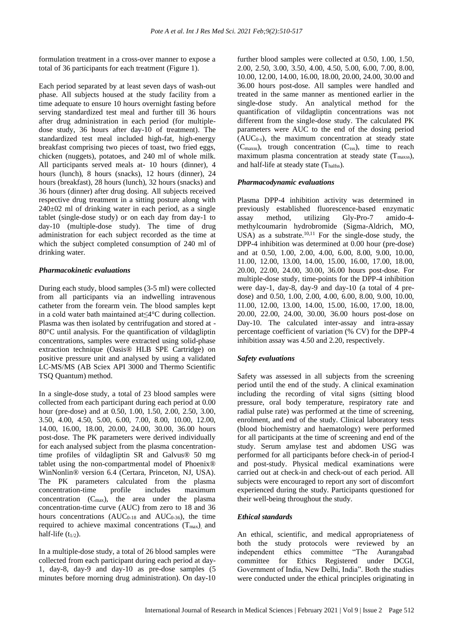formulation treatment in a cross-over manner to expose a total of 36 participants for each treatment (Figure 1).

Each period separated by at least seven days of wash-out phase. All subjects housed at the study facility from a time adequate to ensure 10 hours overnight fasting before serving standardized test meal and further till 36 hours after drug administration in each period (for multipledose study, 36 hours after day-10 of treatment). The standardized test meal included high-fat, high-energy breakfast comprising two pieces of toast, two fried eggs, chicken (nuggets), potatoes, and 240 ml of whole milk. All participants served meals at- 10 hours (dinner), 4 hours (lunch), 8 hours (snacks), 12 hours (dinner), 24 hours (breakfast), 28 hours (lunch), 32 hours (snacks) and 36 hours (dinner) after drug dosing. All subjects received respective drug treatment in a sitting posture along with 240±02 ml of drinking water in each period, as a single tablet (single-dose study) or on each day from day-1 to day-10 (multiple-dose study). The time of drug administration for each subject recorded as the time at which the subject completed consumption of 240 ml of drinking water.

## *Pharmacokinetic evaluations*

During each study, blood samples (3-5 ml) were collected from all participants via an indwelling intravenous catheter from the forearm vein. The blood samples kept in a cold water bath maintained at≤4°C during collection. Plasma was then isolated by centrifugation and stored at - 80°C until analysis. For the quantification of vildagliptin concentrations, samples were extracted using solid-phase extraction technique (Oasis® HLB SPE Cartridge) on positive pressure unit and analysed by using a validated LC-MS/MS (AB Sciex API 3000 and Thermo Scientific TSQ Quantum) method.

In a single-dose study, a total of 23 blood samples were collected from each participant during each period at 0.00 hour (pre-dose) and at 0.50, 1.00, 1.50, 2.00, 2.50, 3.00, 3.50, 4.00, 4.50, 5.00, 6.00, 7.00, 8.00, 10.00, 12.00, 14.00, 16.00, 18.00, 20.00, 24.00, 30.00, 36.00 hours post-dose. The PK parameters were derived individually for each analysed subject from the plasma concentrationtime profiles of vildagliptin SR and Galvus® 50 mg tablet using the non-compartmental model of Phoenix® WinNonlin® version 6.4 (Certara, Princeton, NJ, USA). The PK parameters calculated from the plasma concentration-time profile includes maximum concentration (Cmax), the area under the plasma concentration-time curve (AUC) from zero to 18 and 36 hours concentrations  $(AUC_{0-18}$  and  $AUC_{0-36}$ ), the time required to achieve maximal concentrations  $(T_{\text{max}})$ , and half-life  $(t_{1/2})$ .

In a multiple-dose study, a total of 26 blood samples were collected from each participant during each period at day-1, day-8, day-9 and day-10 as pre-dose samples (5 minutes before morning drug administration). On day-10 further blood samples were collected at 0.50, 1.00, 1.50, 2.00, 2.50, 3.00, 3.50, 4.00, 4.50, 5.00, 6.00, 7.00, 8.00, 10.00, 12.00, 14.00, 16.00, 18.00, 20.00, 24.00, 30.00 and 36.00 hours post-dose. All samples were handled and treated in the same manner as mentioned earlier in the single-dose study. An analytical method for the quantification of vildagliptin concentrations was not different from the single-dose study. The calculated PK parameters were AUC to the end of the dosing period  $(AUC_{0-\tau})$ , the maximum concentration at steady state  $(C_{\text{maxss}})$ , trough concentration  $(C_{\text{rss}})$ , time to reach maximum plasma concentration at steady state  $(T<sub>maxss</sub>)$ , and half-life at steady state  $(T_{halfss})$ .

## *Pharmacodynamic evaluations*

Plasma DPP-4 inhibition activity was determined in previously established fluorescence-based enzymatic assay method, utilizing Gly-Pro-7 amido-4 methylcoumarin hydrobromide (Sigma-Aldrich, MO, USA) as a substrate. $10,11$  For the single-dose study, the DPP-4 inhibition was determined at 0.00 hour (pre-dose) and at 0.50, 1.00, 2.00, 4.00, 6.00, 8.00, 9.00, 10.00, 11.00, 12.00, 13.00, 14.00, 15.00, 16.00, 17.00, 18.00, 20.00, 22.00, 24.00, 30.00, 36.00 hours post-dose. For multiple-dose study, time-points for the DPP-4 inhibition were day-1, day-8, day-9 and day-10 (a total of 4 predose) and 0.50, 1.00, 2.00, 4.00, 6.00, 8.00, 9.00, 10.00, 11.00, 12.00, 13.00, 14.00, 15.00, 16.00, 17.00, 18.00, 20.00, 22.00, 24.00, 30.00, 36.00 hours post-dose on Day-10. The calculated inter-assay and intra-assay percentage coefficient of variation (% CV) for the DPP-4 inhibition assay was 4.50 and 2.20, respectively.

## *Safety evaluations*

Safety was assessed in all subjects from the screening period until the end of the study. A clinical examination including the recording of vital signs (sitting blood pressure, oral body temperature, respiratory rate and radial pulse rate) was performed at the time of screening, enrolment, and end of the study. Clinical laboratory tests (blood biochemistry and haematology) were performed for all participants at the time of screening and end of the study. Serum amylase test and abdomen USG was performed for all participants before check-in of period-I and post-study. Physical medical examinations were carried out at check-in and check-out of each period. All subjects were encouraged to report any sort of discomfort experienced during the study. Participants questioned for their well-being throughout the study.

## *Ethical standards*

An ethical, scientific, and medical appropriateness of both the study protocols were reviewed by an independent ethics committee "The Aurangabad committee for Ethics Registered under DCGI, Government of India, New Delhi, India". Both the studies were conducted under the ethical principles originating in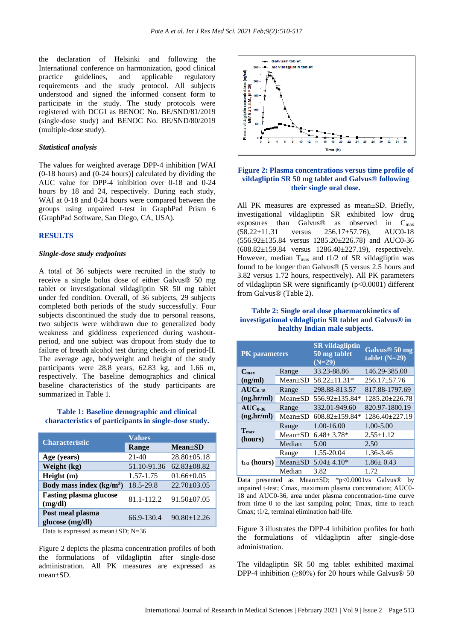the declaration of Helsinki and following the International conference on harmonization, good clinical practice guidelines, and applicable regulatory requirements and the study protocol. All subjects understood and signed the informed consent form to participate in the study. The study protocols were registered with DCGI as BENOC No. BE/SND/81/2019 (single-dose study) and BENOC No. BE/SND/80/2019 (multiple-dose study).

# *Statistical analysis*

The values for weighted average DPP-4 inhibition [WAI (0-18 hours) and (0-24 hours)] calculated by dividing the AUC value for DPP-4 inhibition over 0-18 and 0-24 hours by 18 and 24, respectively. During each study, WAI at 0-18 and 0-24 hours were compared between the groups using unpaired t-test in GraphPad Prism 6 (GraphPad Software, San Diego, CA, USA).

#### **RESULTS**

#### *Single-dose study endpoints*

A total of 36 subjects were recruited in the study to receive a single bolus dose of either Galvus® 50 mg tablet or investigational vildagliptin SR 50 mg tablet under fed condition. Overall, of 36 subjects, 29 subjects completed both periods of the study successfully. Four subjects discontinued the study due to personal reasons, two subjects were withdrawn due to generalized body weakness and giddiness experienced during washoutperiod, and one subject was dropout from study due to failure of breath alcohol test during check-in of period-II. The average age, bodyweight and height of the study participants were 28.8 years, 62.83 kg, and 1.66 m, respectively. The baseline demographics and clinical baseline characteristics of the study participants are summarized in Table 1.

# **Table 1: Baseline demographic and clinical characteristics of participants in single-dose study.**

| <b>Characteristic</b>                    | <b>Values</b> |                   |  |
|------------------------------------------|---------------|-------------------|--|
|                                          | Range         | $Mean \pm SD$     |  |
| Age (years)                              | $21 - 40$     | $28.80 \pm 05.18$ |  |
| Weight (kg)                              | 51.10-91.36   | $62.83 \pm 08.82$ |  |
| Height(m)                                | 1.57-1.75     | $01.66 \pm 0.05$  |  |
| Body mass index $(kg/m2)$                | 18.5-29.8     | $22.70 \pm 03.05$ |  |
| <b>Fasting plasma glucose</b><br>(mg/dl) | 81.1-112.2    | $91.50 \pm 07.05$ |  |
| Post meal plasma<br>glucose (mg/dl)      | 66.9-130.4    | $90.80 \pm 12.26$ |  |

Data is expressed as mean±SD; N=36

Figure 2 depicts the plasma concentration profiles of both the formulations of vildagliptin after single-dose administration. All PK measures are expressed as mean±SD.



## **Figure 2: Plasma concentrations versus time profile of vildagliptin SR 50 mg tablet and Galvus® following their single oral dose.**

All PK measures are expressed as mean±SD. Briefly, investigational vildagliptin SR exhibited low drug exposures than Galvus<sup>®</sup> as observed in  $C_{max}$ (58.22±11.31 versus 256.17±57.76), AUC0-18 (556.92±135.84 versus 1285.20±226.78) and AUC0-36 (608.82±159.84 versus 1286.40±227.19), respectively. However, median  $T_{\text{max}}$  and t1/2 of SR vildagliptin was found to be longer than Galvus® (5 versus 2.5 hours and 3.82 versus 1.72 hours, respectively). All PK parameters of vildagliptin SR were significantly (p<0.0001) different from Galvus® (Table 2).

# **Table 2: Single oral dose pharmacokinetics of investigational vildagliptin SR tablet and Galvus® in healthy Indian male subjects.**

| <b>PK</b> parameters        |               | <b>SR</b> vildagliptin<br>50 mg tablet<br>$(N=29)$ | Galvus <sup>®</sup> 50 mg<br>tablet $(N=29)$ |
|-----------------------------|---------------|----------------------------------------------------|----------------------------------------------|
| $C_{\rm max}$               | Range         | 33.23-88.86                                        | 146.29-385.00                                |
| (ng/ml)                     | $Mean+SD$     | 58.22±11.31*                                       | $256.17 \pm 57.76$                           |
| $AUC_{0-18}$                | Range         | 298.88-813.57                                      | 817.88-1797.69                               |
| (ng.hr/ml)                  | $Mean \pm SD$ | 556.92±135.84*                                     | 1285.20±226.78                               |
| $AUC0-36$<br>(ng.hr/ml)     | Range         | 332.01-949.60                                      | 820.97-1800.19                               |
|                             | $Mean \pm SD$ | 608.82±159.84*                                     | 1286.40±227.19                               |
|                             | Range         | 1.00-16.00                                         | 1.00-5.00                                    |
| T <sub>max</sub><br>(hours) | $Mean+SD$     | $6.48 \pm 3.78*$                                   | $2.55 \pm 1.12$                              |
|                             | Median        | 5.00                                               | 2.50                                         |
|                             | Range         | 1.55-20.04                                         | 1.36-3.46                                    |
| $t_{1/2}$ (hours)           | $Mean \pm SD$ | $5.04 \pm 4.10*$                                   | $1.86 \pm 0.43$                              |
|                             | Median        | 3.82                                               | 1.72                                         |

Data presented as Mean±SD; \*p<0.0001vs Galvus® by unpaired t-test; Cmax, maximum plasma concentration; AUC0- 18 and AUC0-36, area under plasma concentration-time curve from time 0 to the last sampling point; Tmax, time to reach Cmax; t1/2, terminal elimination half-life.

Figure 3 illustrates the DPP-4 inhibition profiles for both the formulations of vildagliptin after single-dose administration.

The vildagliptin SR 50 mg tablet exhibited maximal DPP-4 inhibition ( $\geq 80\%$ ) for 20 hours while Galvus® 50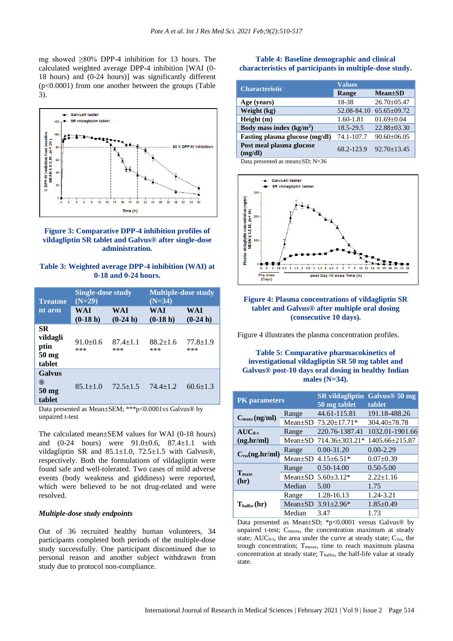mg showed  $\geq 80\%$  DPP-4 inhibition for 13 hours. The calculated weighted average DPP-4 inhibition [WAI (0- 18 hours) and (0-24 hours)] was significantly different (p<0.0001) from one another between the groups (Table 3).





**Table 3: Weighted average DPP-4 inhibition (WAI) at 0-18 and 0-24 hours.**

| <b>Treatme</b>                                             | <b>Single-dose study</b><br>$(N=29)$ |                       | <b>Multiple-dose study</b><br>$(N=34)$ |                       |
|------------------------------------------------------------|--------------------------------------|-----------------------|----------------------------------------|-----------------------|
| nt arm                                                     | <b>WAI</b><br>$(0-18 h)$             | WAI<br>$(0-24 h)$     | <b>WAI</b><br>$(0-18 h)$               | WAI<br>$(0-24 h)$     |
| <b>SR</b><br>vildagli<br>ptin<br>$50 \text{ mg}$<br>tablet | $91.0+0.6$<br>***                    | $87.4 \pm 1.1$<br>*** | $88.2 \pm 1.6$<br>***                  | $77.8 \pm 1.9$<br>*** |
| <b>Galvus</b><br>®<br>50 <sub>mg</sub><br>tablet           | $85.1 \pm 1.0$                       | $72.5 \pm 1.5$        | $74.4 + 1.2$                           | $60.6 \pm 1.3$        |

Data presented as Mean±SEM; \*\*\*p<0.0001vs Galvus® by unpaired t-test

The calculated mean±SEM values for WAI (0-18 hours) and (0-24 hours) were 91.0±0.6, 87.4±1.1 with vildagliptin SR and 85.1±1.0, 72.5±1.5 with Galvus®, respectively. Both the formulations of vildagliptin were found safe and well-tolerated. Two cases of mild adverse events (body weakness and giddiness) were reported, which were believed to be not drug-related and were resolved.

#### *Multiple-dose study endpoints*

Out of 36 recruited healthy human volunteers, 34 participants completed both periods of the multiple-dose study successfully. One participant discontinued due to personal reason and another subject withdrawn from study due to protocol non-compliance.

# **Table 4: Baseline demographic and clinical characteristics of participants in multiple-dose study.**

| <b>Characteristic</b>               | <b>Values</b> |                   |
|-------------------------------------|---------------|-------------------|
|                                     | Range         | $Mean \pm SD$     |
| Age (years)                         | 18-38         | $26.70 + 0.547$   |
| Weight (kg)                         | 52.08-84.10   | $65.65 \pm 09.72$ |
| Height(m)                           | 1.60-1.81     | $01.69 \pm 0.04$  |
| Body mass index $(kg/m2)$           | 18.5-29.5     | $22.88 \pm 03.30$ |
| Fasting plasma glucose (mg/dl)      | 74.1-107.7    | $90.60 \pm 06.05$ |
| Post meal plasma glucose<br>(mg/dl) | 68.2-123.9    | $92.70 + 13.45$   |

Data presented as mean±SD; N=36



# **Figure 4: Plasma concentrations of vildagliptin SR tablet and Galvus® after multiple oral dosing (consecutive 10 days).**

Figure 4 illustrates the plasma concentration profiles.

# **Table 5: Comparative pharmacokinetics of investigational vildagliptin SR 50 mg tablet and Galvus® post-10 days oral dosing in healthy Indian males (N=34).**

| <b>PK</b> parameters           |               | <b>SR</b> vildagliptin<br>50 mg tablet | Galvus <sup>®</sup> 50 mg<br>tablet |
|--------------------------------|---------------|----------------------------------------|-------------------------------------|
| $C_{\text{max}}$ (ng/ml)       | Range         | 44.61-115.81                           | 191.18-488.26                       |
|                                | $Mean \pm SD$ | $73.20 \pm 17.71*$                     | $304.40 \pm 78.78$                  |
| $AUC_{0-\tau}$                 | Range         | 220.76-1387.41                         | 1032.01-1901.66                     |
| (ng,hr/ml)                     | Mean±SD       | 714.36±303.21*                         | 1405.66±215.87                      |
| $C_{\tau ss}$ (ng.hr/ml)       | Range         | $0.00 - 31.20$                         | $0.00 - 2.29$                       |
|                                | $Mean+SD$     | $4.15 \pm 6.51*$                       | $0.07+0.39$                         |
| $T_{\rm max}$<br>(hr)          | Range         | $0.50 - 14.00$                         | $0.50 - 5.00$                       |
|                                | $Mean \pm SD$ | $5.60 \pm 3.12*$                       | $2.22 \pm 1.16$                     |
|                                | Median        | 5.00                                   | 1.75                                |
| $T_{\text{halfss}}(\text{hr})$ | Range         | 1.28-16.13                             | 1.24-3.21                           |
|                                | $Mean \pm SD$ | $3.91 \pm 2.96*$                       | $1.85 \pm 0.49$                     |
|                                | Median        | 3.47                                   | 1.73                                |

Data presented as Mean±SD; \*p<0.0001 versus Galvus® by unpaired t-test; Cmaxss, the concentration maximum at steady state;  $AUC_{0-\tau}$ , the area under the curve at steady state;  $C_{\tau ss}$ , the trough concentration; Tmaxss, time to reach maximum plasma concentration at steady state; Thalfss, the half-life value at steady state.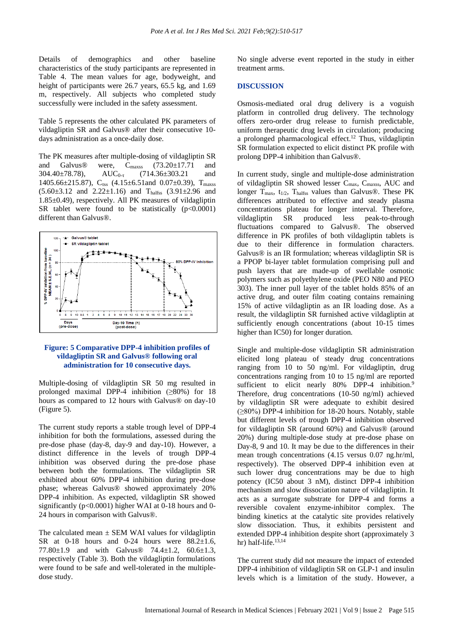Details of demographics and other baseline characteristics of the study participants are represented in Table 4. The mean values for age, bodyweight, and height of participants were 26.7 years, 65.5 kg, and 1.69 m, respectively. All subjects who completed study successfully were included in the safety assessment.

Table 5 represents the other calculated PK parameters of vildagliptin SR and Galvus® after their consecutive 10 days administration as a once-daily dose.

The PK measures after multiple-dosing of vildagliptin SR and Galvus® were,  $C_{\text{maxss}}$  (73.20±17.71 and 304.40±78.78), AUC<sub>0-τ</sub> (714.36±303.21 and  $304.40 \pm 78.78$ ),  $AUC_{0-\tau}$  (714.36 $\pm 303.21$  and 1405.66±215.87), C<sub>rss</sub> (4.15±6.51and 0.07±0.39), T<sub>maxss</sub>  $(5.60\pm3.12$  and  $2.22\pm1.16)$  and T<sub>halfss</sub>  $(3.91\pm2.96$  and 1.85±0.49), respectively. All PK measures of vildagliptin SR tablet were found to be statistically  $(p<0.0001)$ different than Galvus®.



# **Figure: 5 Comparative DPP-4 inhibition profiles of vildagliptin SR and Galvus® following oral administration for 10 consecutive days.**

Multiple-dosing of vildagliptin SR 50 mg resulted in prolonged maximal DPP-4 inhibition  $(≥80%)$  for 18 hours as compared to 12 hours with Galvus® on day-10 (Figure 5).

The current study reports a stable trough level of DPP-4 inhibition for both the formulations, assessed during the pre-dose phase (day-8, day-9 and day-10). However, a distinct difference in the levels of trough DPP-4 inhibition was observed during the pre-dose phase between both the formulations. The vildagliptin SR exhibited about 60% DPP-4 inhibition during pre-dose phase; whereas Galvus® showed approximately 20% DPP-4 inhibition. As expected, vildagliptin SR showed significantly (p<0.0001) higher WAI at 0-18 hours and 0-24 hours in comparison with Galvus®.

The calculated mean  $\pm$  SEM WAI values for vildagliptin SR at  $0-18$  hours and  $0-24$  hours were  $88.2 \pm 1.6$ , 77.80±1.9 and with Galvus® 74.4±1.2, 60.6±1.3, respectively (Table 3). Both the vildagliptin formulations were found to be safe and well-tolerated in the multipledose study.

No single adverse event reported in the study in either treatment arms.

#### **DISCUSSION**

Osmosis-mediated oral drug delivery is a voguish platform in controlled drug delivery. The technology offers zero-order drug release to furnish predictable, uniform therapeutic drug levels in circulation; producing a prolonged pharmacological effect. <sup>12</sup> Thus, vildagliptin SR formulation expected to elicit distinct PK profile with prolong DPP-4 inhibition than Galvus®.

In current study, single and multiple-dose administration of vildagliptin SR showed lesser Cmax, Cmaxss, AUC and longer  $T_{\text{max}}$ ,  $t_{1/2}$ ,  $T_{\text{halfss}}$  values than Galvus®. These PK differences attributed to effective and steady plasma concentrations plateau for longer interval. Therefore, vildagliptin SR produced less peak-to-through fluctuations compared to Galvus®. The observed difference in PK profiles of both vildagliptin tablets is due to their difference in formulation characters. Galvus® is an IR formulation; whereas vildagliptin SR is a PPOP bi-layer tablet formulation comprising pull and push layers that are made-up of swellable osmotic polymers such as polyethylene oxide (PEO N80 and PEO 303). The inner pull layer of the tablet holds 85% of an active drug, and outer film coating contains remaining 15% of active vildagliptin as an IR loading dose. As a result, the vildagliptin SR furnished active vildagliptin at sufficiently enough concentrations (about 10-15 times higher than IC50) for longer duration.

Single and multiple-dose vildagliptin SR administration elicited long plateau of steady drug concentrations ranging from 10 to 50 ng/ml. For vildagliptin, drug concentrations ranging from 10 to 15 ng/ml are reported sufficient to elicit nearly 80% DPP-4 inhibition.<sup>9</sup> Therefore, drug concentrations (10-50 ng/ml) achieved by vildagliptin SR were adequate to exhibit desired (≥80%) DPP-4 inhibition for 18-20 hours. Notably, stable but different levels of trough DPP-4 inhibition observed for vildagliptin SR (around 60%) and Galvus® (around 20%) during multiple-dose study at pre-dose phase on Day-8, 9 and 10. It may be due to the differences in their mean trough concentrations (4.15 versus 0.07 ng.hr/ml, respectively). The observed DPP-4 inhibition even at such lower drug concentrations may be due to high potency (IC50 about 3 nM), distinct DPP-4 inhibition mechanism and slow dissociation nature of vildagliptin. It acts as a surrogate substrate for DPP-4 and forms a reversible covalent enzyme-inhibitor complex. The binding kinetics at the catalytic site provides relatively slow dissociation. Thus, it exhibits persistent and extended DPP-4 inhibition despite short (approximately 3 hr) half-life. 13,14

The current study did not measure the impact of extended DPP-4 inhibition of vildagliptin SR on GLP-1 and insulin levels which is a limitation of the study. However, a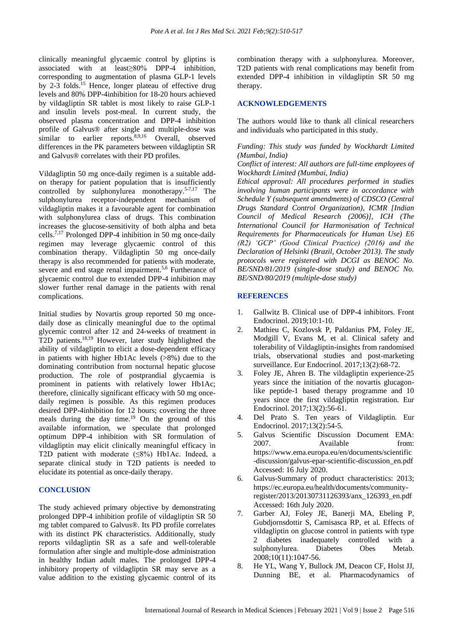clinically meaningful glycaemic control by gliptins is associated with at least≥80% DPP-4 inhibition, corresponding to augmentation of plasma GLP-1 levels by 2-3 folds.<sup>15</sup> Hence, longer plateau of effective drug levels and 80% DPP-4inhibition for 18-20 hours achieved by vildagliptin SR tablet is most likely to raise GLP-1 and insulin levels post-meal. In current study, the observed plasma concentration and DPP-4 inhibition profile of Galvus® after single and multiple-dose was similar to earlier reports.<sup>8,9,16</sup> Overall, observed differences in the PK parameters between vildagliptin SR and Galvus® correlates with their PD profiles.

Vildagliptin 50 mg once-daily regimen is a suitable addon therapy for patient population that is insufficiently controlled by sulphonylurea monotherapy. 5-7,17 The sulphonylurea receptor-independent mechanism of vildagliptin makes it a favourable agent for combination with sulphonylurea class of drugs. This combination increases the glucose-sensitivity of both alpha and beta cells. 7,17 Prolonged DPP-4 inhibition in 50 mg once-daily regimen may leverage glycaemic control of this combination therapy. Vildagliptin 50 mg once-daily therapy is also recommended for patients with moderate, severe and end stage renal impairment.<sup>5,6</sup> Furtherance of glycaemic control due to extended DPP-4 inhibition may slower further renal damage in the patients with renal complications.

Initial studies by Novartis group reported 50 mg oncedaily dose as clinically meaningful due to the optimal glycemic control after 12 and 24-weeks of treatment in T2D patients.18,19 However, later study highlighted the ability of vildagliptin to elicit a dose-dependent efficacy in patients with higher Hb1Ac levels (>8%) due to the dominating contribution from nocturnal hepatic glucose production. The role of postprandial glycaemia is prominent in patients with relatively lower Hb1Ac; therefore, clinically significant efficacy with 50 mg oncedaily regimen is possible. As this regimen produces desired DPP-4inhibition for 12 hours; covering the three meals during the day time.<sup>19</sup> On the ground of this available information, we speculate that prolonged optimum DPP-4 inhibition with SR formulation of vildagliptin may elicit clinically meaningful efficacy in T2D patient with moderate (≤8%) Hb1Ac. Indeed, a separate clinical study in T2D patients is needed to elucidate its potential as once-daily therapy.

## **CONCLUSION**

The study achieved primary objective by demonstrating prolonged DPP-4 inhibition profile of vildagliptin SR 50 mg tablet compared to Galvus®. Its PD profile correlates with its distinct PK characteristics. Additionally, study reports vildagliptin SR as a safe and well-tolerable formulation after single and multiple-dose administration in healthy Indian adult males. The prolonged DPP-4 inhibitory property of vildagliptin SR may serve as a value addition to the existing glycaemic control of its combination therapy with a sulphonylurea. Moreover, T2D patients with renal complications may benefit from extended DPP-4 inhibition in vildagliptin SR 50 mg therapy.

# **ACKNOWLEDGEMENTS**

The authors would like to thank all clinical researchers and individuals who participated in this study.

# *Funding: This study was funded by Wockhardt Limited (Mumbai, India)*

*Conflict of interest: All authors are full-time employees of Wockhardt Limited (Mumbai, India)*

*Ethical approval: All procedures performed in studies involving human participants were in accordance with Schedule Y (subsequent amendments) of CDSCO (Central Drugs Standard Control Organization), ICMR [Indian Council of Medical Research (2006)], ICH (The International Council for Harmonisation of Technical Requirements for Pharmaceuticals for Human Use) E6 (R2) 'GCP' (Good Clinical Practice) (2016) and the Declaration of Helsinki (Brazil, October 2013). The study protocols were registered with DCGI as BENOC No. BE/SND/81/2019 (single-dose study) and BENOC No. BE/SND/80/2019 (multiple-dose study)*

# **REFERENCES**

- 1. Gallwitz B. Clinical use of DPP-4 inhibitors. Front Endocrinol. 2019;10:1-10.
- 2. Mathieu C, Kozlovsk P, Paldanius PM, Foley JE, Modgill V, Evans M, et al. Clinical safety and tolerability of Vildagliptin-insights from randomised trials, observational studies and post-marketing surveillance. Eur Endocrinol. 2017;13(2):68-72.
- 3. Foley JE, Ahren B. The vildagliptin experience-25 years since the initiation of the novartis glucagonlike peptide-1 based therapy programme and 10 years since the first vildagliptin registration. Eur Endocrinol. 2017;13(2):56-61.
- 4. Del Prato S. Ten years of Vildagliptin. Eur Endocrinol. 2017;13(2):54-5.
- 5. Galvus Scientific Discussion Document EMA: 2007 Available from: https://www.ema.europa.eu/en/documents/scientific -discussion/galvus-epar-scientific-discussion\_en.pdf Accessed: 16 July 2020.
- 6. Galvus-Summary of product characteristics: 2013; https://ec.europa.eu/health/documents/communityregister/2013/20130731126393/anx\_126393\_en.pdf Accessed: 16th July 2020.
- 7. Garber AJ, Foley JE, Banerji MA, Ebeling P, Gubdjornsdottir S, Camisasca RP, et al. Effects of vildagliptin on glucose control in patients with type 2 diabetes inadequately controlled with a sulphonylurea. Diabetes Obes Metab. 2008;10(11):1047-56.
- 8. He YL, Wang Y, Bullock JM, Deacon CF, Holst JJ, Dunning BE, et al. Pharmacodynamics of